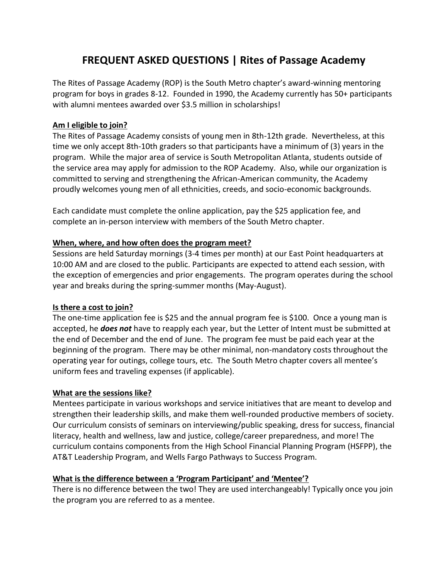# **FREQUENT ASKED QUESTIONS | Rites of Passage Academy**

The Rites of Passage Academy (ROP) is the South Metro chapter's award-winning mentoring program for boys in grades 8-12. Founded in 1990, the Academy currently has 50+ participants with alumni mentees awarded over \$3.5 million in scholarships!

## **Am I eligible to join?**

The Rites of Passage Academy consists of young men in 8th-12th grade. Nevertheless, at this time we only accept 8th-10th graders so that participants have a minimum of (3) years in the program. While the major area of service is South Metropolitan Atlanta, students outside of the service area may apply for admission to the ROP Academy. Also, while our organization is committed to serving and strengthening the African-American community, the Academy proudly welcomes young men of all ethnicities, creeds, and socio-economic backgrounds.

Each candidate must complete the online application, pay the \$25 application fee, and complete an in-person interview with members of the South Metro chapter.

## **When, where, and how often does the program meet?**

Sessions are held Saturday mornings (3-4 times per month) at our East Point headquarters at 10:00 AM and are closed to the public. Participants are expected to attend each session, with the exception of emergencies and prior engagements. The program operates during the school year and breaks during the spring-summer months (May-August).

### **Is there a cost to join?**

The one-time application fee is \$25 and the annual program fee is \$100. Once a young man is accepted, he *does not* have to reapply each year, but the Letter of Intent must be submitted at the end of December and the end of June. The program fee must be paid each year at the beginning of the program. There may be other minimal, non-mandatory costs throughout the operating year for outings, college tours, etc. The South Metro chapter covers all mentee's uniform fees and traveling expenses (if applicable).

### **What are the sessions like?**

Mentees participate in various workshops and service initiatives that are meant to develop and strengthen their leadership skills, and make them well-rounded productive members of society. Our curriculum consists of seminars on interviewing/public speaking, dress for success, financial literacy, health and wellness, law and justice, college/career preparedness, and more! The curriculum contains components from the High School Financial Planning Program (HSFPP), the AT&T Leadership Program, and Wells Fargo Pathways to Success Program.

# **What is the difference between a 'Program Participant' and 'Mentee'?**

There is no difference between the two! They are used interchangeably! Typically once you join the program you are referred to as a mentee.